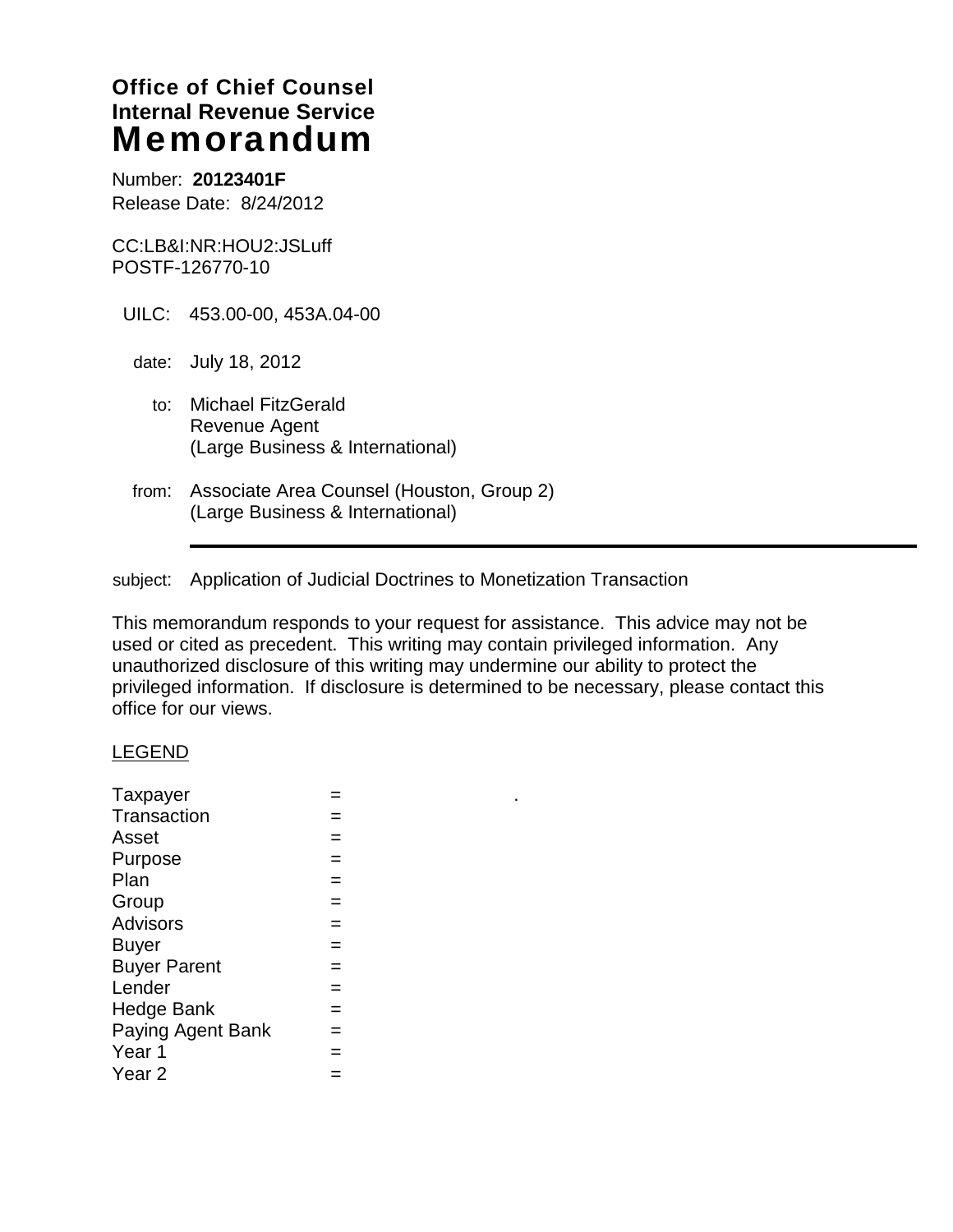# **Office of Chief Counsel Internal Revenue Service**  Memorandum

Number: **20123401F**  Release Date: 8/24/2012

CC:LB&I:NR:HOU2:JSLuff POSTF-126770-10

- UILC: 453.00-00, 453A.04-00
	- date: July 18, 2012
		- to: Michael FitzGerald Revenue Agent (Large Business & International)
- from: Associate Area Counsel (Houston, Group 2) (Large Business & International)

subject: Application of Judicial Doctrines to Monetization Transaction

This memorandum responds to your request for assistance. This advice may not be used or cited as precedent. This writing may contain privileged information. Any unauthorized disclosure of this writing may undermine our ability to protect the privileged information. If disclosure is determined to be necessary, please contact this office for our views.

#### LEGEND

| Taxpayer            |     |
|---------------------|-----|
| <b>Transaction</b>  |     |
| Asset               |     |
| Purpose             |     |
| Plan                |     |
| Group               |     |
| <b>Advisors</b>     |     |
| <b>Buyer</b>        |     |
| <b>Buyer Parent</b> | $=$ |
| Lender              |     |
| <b>Hedge Bank</b>   |     |
| Paying Agent Bank   |     |
| Year 1              |     |
| Year <sub>2</sub>   |     |
|                     |     |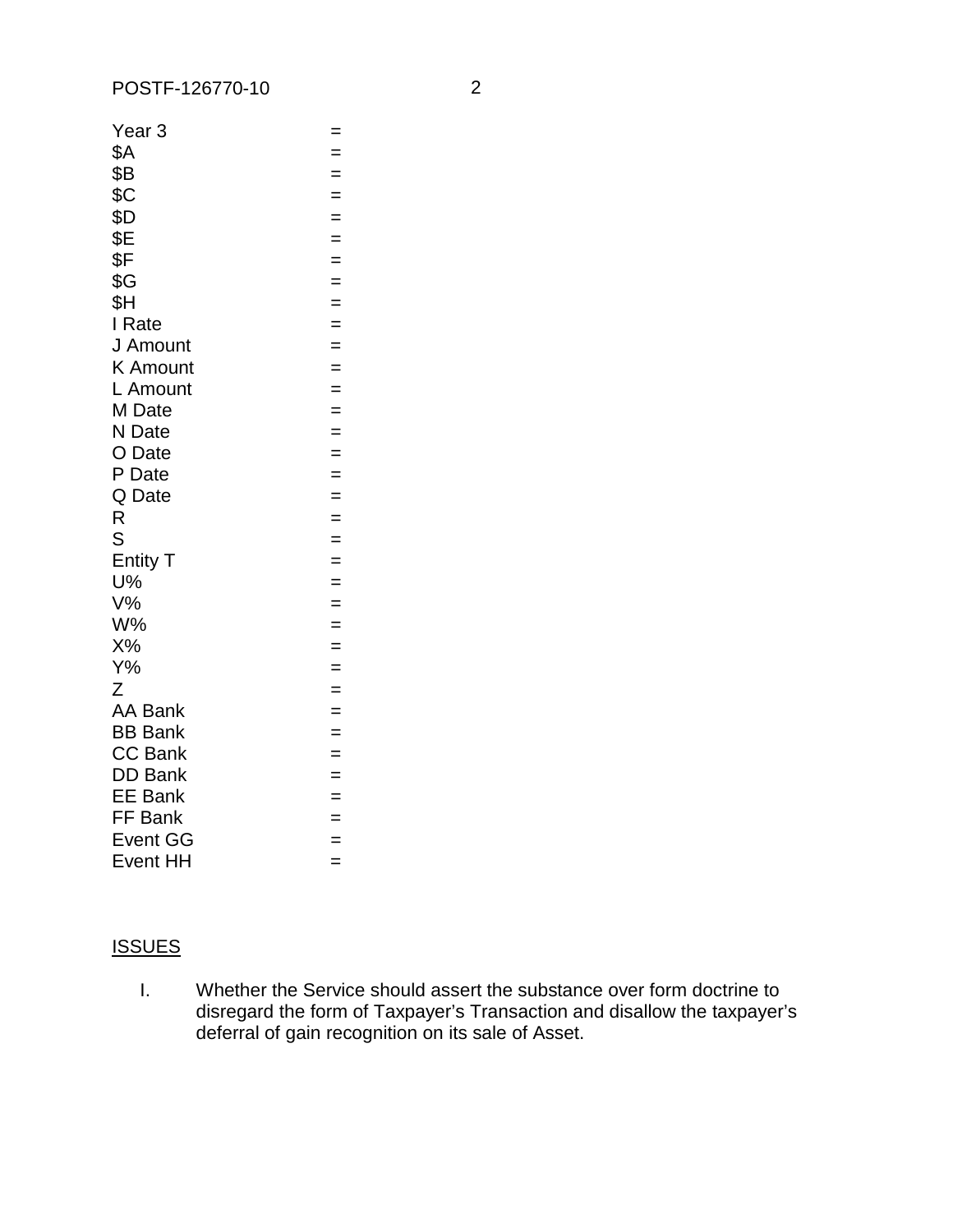| Year 3          | $=$ |
|-----------------|-----|
| \$Α             | $=$ |
| \$Β             | $=$ |
| \$C             | $=$ |
| \$D             | $=$ |
| \$E             | $=$ |
| \$F             | $=$ |
| \$G             | $=$ |
| \$Η             | $=$ |
| I Rate          | $=$ |
| J Amount        | $=$ |
| <b>K</b> Amount | $=$ |
| L Amount        | $=$ |
| M Date          | $=$ |
| N Date          | $=$ |
| O Date          | $=$ |
| P Date          | $=$ |
| Q Date          | $=$ |
| R               | $=$ |
| S               | $=$ |
| <b>Entity T</b> | $=$ |
| U%              | $=$ |
| $V\%$           | $=$ |
| W%              | $=$ |
| X%              | $=$ |
| $Y\%$           | $=$ |
| Z               | $=$ |
| <b>AA Bank</b>  | $=$ |
| <b>BB Bank</b>  | $=$ |
| <b>CC Bank</b>  | $=$ |
| <b>DD Bank</b>  | $=$ |
| <b>EE Bank</b>  | $=$ |
| FF Bank         | $=$ |
| <b>Event GG</b> | $=$ |
| <b>Event HH</b> | $=$ |

# **ISSUES**

 $\mathbf{L}$ Whether the Service should assert the substance over form doctrine to disregard the form of Taxpayer's Transaction and disallow the taxpayer's deferral of gain recognition on its sale of Asset.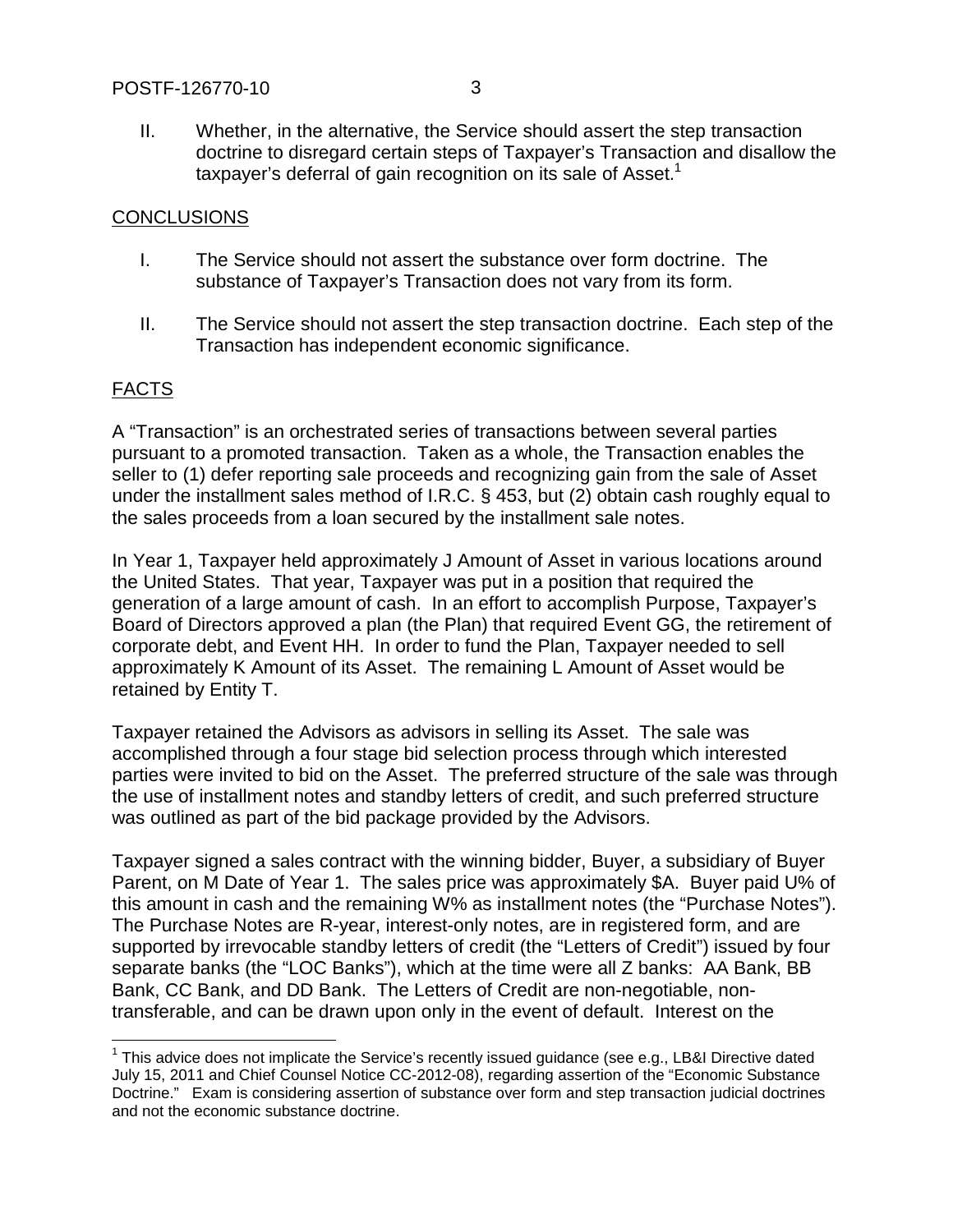II. Whether, in the alternative, the Service should assert the step transaction doctrine to disregard certain steps of Taxpayer's Transaction and disallow the taxpayer's deferral of gain recognition on its sale of Asset.<sup>1</sup>

### **CONCLUSIONS**

- I. The Service should not assert the substance over form doctrine. The substance of Taxpayer's Transaction does not vary from its form.
- II. The Service should not assert the step transaction doctrine. Each step of the Transaction has independent economic significance.

# FACTS

 $\overline{a}$ 

A "Transaction" is an orchestrated series of transactions between several parties pursuant to a promoted transaction. Taken as a whole, the Transaction enables the seller to (1) defer reporting sale proceeds and recognizing gain from the sale of Asset under the installment sales method of I.R.C. § 453, but (2) obtain cash roughly equal to the sales proceeds from a loan secured by the installment sale notes.

In Year 1, Taxpayer held approximately J Amount of Asset in various locations around the United States. That year, Taxpayer was put in a position that required the generation of a large amount of cash. In an effort to accomplish Purpose, Taxpayer's Board of Directors approved a plan (the Plan) that required Event GG, the retirement of corporate debt, and Event HH. In order to fund the Plan, Taxpayer needed to sell approximately K Amount of its Asset. The remaining L Amount of Asset would be retained by Entity T.

Taxpayer retained the Advisors as advisors in selling its Asset. The sale was accomplished through a four stage bid selection process through which interested parties were invited to bid on the Asset. The preferred structure of the sale was through the use of installment notes and standby letters of credit, and such preferred structure was outlined as part of the bid package provided by the Advisors.

Taxpayer signed a sales contract with the winning bidder, Buyer, a subsidiary of Buyer Parent, on M Date of Year 1. The sales price was approximately \$A. Buyer paid U% of this amount in cash and the remaining W% as installment notes (the "Purchase Notes"). The Purchase Notes are R-year, interest-only notes, are in registered form, and are supported by irrevocable standby letters of credit (the "Letters of Credit") issued by four separate banks (the "LOC Banks"), which at the time were all Z banks: AA Bank, BB Bank, CC Bank, and DD Bank. The Letters of Credit are non-negotiable, nontransferable, and can be drawn upon only in the event of default. Interest on the

 $1$  This advice does not implicate the Service's recently issued guidance (see e.g., LB&I Directive dated July 15, 2011 and Chief Counsel Notice CC-2012-08), regarding assertion of the "Economic Substance Doctrine." Exam is considering assertion of substance over form and step transaction judicial doctrines and not the economic substance doctrine.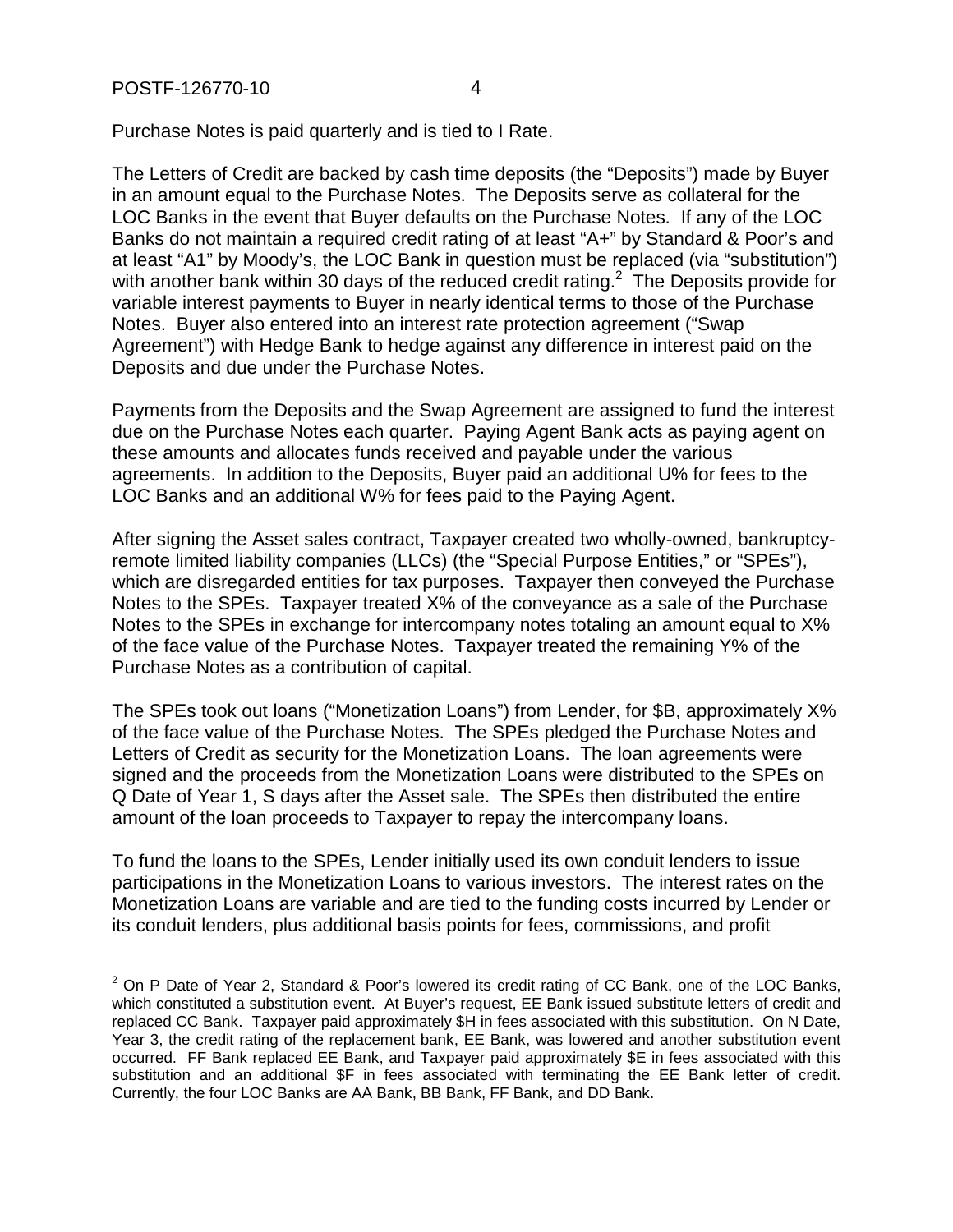$\overline{\phantom{a}}$ 

Purchase Notes is paid quarterly and is tied to I Rate.

The Letters of Credit are backed by cash time deposits (the "Deposits") made by Buyer in an amount equal to the Purchase Notes. The Deposits serve as collateral for the LOC Banks in the event that Buyer defaults on the Purchase Notes. If any of the LOC Banks do not maintain a required credit rating of at least "A+" by Standard & Poor's and at least "A1" by Moody's, the LOC Bank in question must be replaced (via "substitution") with another bank within 30 days of the reduced credit rating. $2$  The Deposits provide for variable interest payments to Buyer in nearly identical terms to those of the Purchase Notes. Buyer also entered into an interest rate protection agreement ("Swap Agreement") with Hedge Bank to hedge against any difference in interest paid on the Deposits and due under the Purchase Notes.

Payments from the Deposits and the Swap Agreement are assigned to fund the interest due on the Purchase Notes each quarter. Paying Agent Bank acts as paying agent on these amounts and allocates funds received and payable under the various agreements. In addition to the Deposits, Buyer paid an additional U% for fees to the LOC Banks and an additional W% for fees paid to the Paying Agent.

After signing the Asset sales contract, Taxpayer created two wholly-owned, bankruptcyremote limited liability companies (LLCs) (the "Special Purpose Entities," or "SPEs"), which are disregarded entities for tax purposes. Taxpayer then conveyed the Purchase Notes to the SPEs. Taxpayer treated X% of the conveyance as a sale of the Purchase Notes to the SPEs in exchange for intercompany notes totaling an amount equal to X% of the face value of the Purchase Notes. Taxpayer treated the remaining Y% of the Purchase Notes as a contribution of capital.

The SPEs took out loans ("Monetization Loans") from Lender, for \$B, approximately X% of the face value of the Purchase Notes. The SPEs pledged the Purchase Notes and Letters of Credit as security for the Monetization Loans. The loan agreements were signed and the proceeds from the Monetization Loans were distributed to the SPEs on Q Date of Year 1, S days after the Asset sale. The SPEs then distributed the entire amount of the loan proceeds to Taxpayer to repay the intercompany loans.

To fund the loans to the SPEs, Lender initially used its own conduit lenders to issue participations in the Monetization Loans to various investors. The interest rates on the Monetization Loans are variable and are tied to the funding costs incurred by Lender or its conduit lenders, plus additional basis points for fees, commissions, and profit

 $2$  On P Date of Year 2, Standard & Poor's lowered its credit rating of CC Bank, one of the LOC Banks, which constituted a substitution event. At Buyer's request, EE Bank issued substitute letters of credit and replaced CC Bank. Taxpayer paid approximately \$H in fees associated with this substitution. On N Date, Year 3, the credit rating of the replacement bank, EE Bank, was lowered and another substitution event occurred. FF Bank replaced EE Bank, and Taxpayer paid approximately \$E in fees associated with this substitution and an additional \$F in fees associated with terminating the EE Bank letter of credit. Currently, the four LOC Banks are AA Bank, BB Bank, FF Bank, and DD Bank.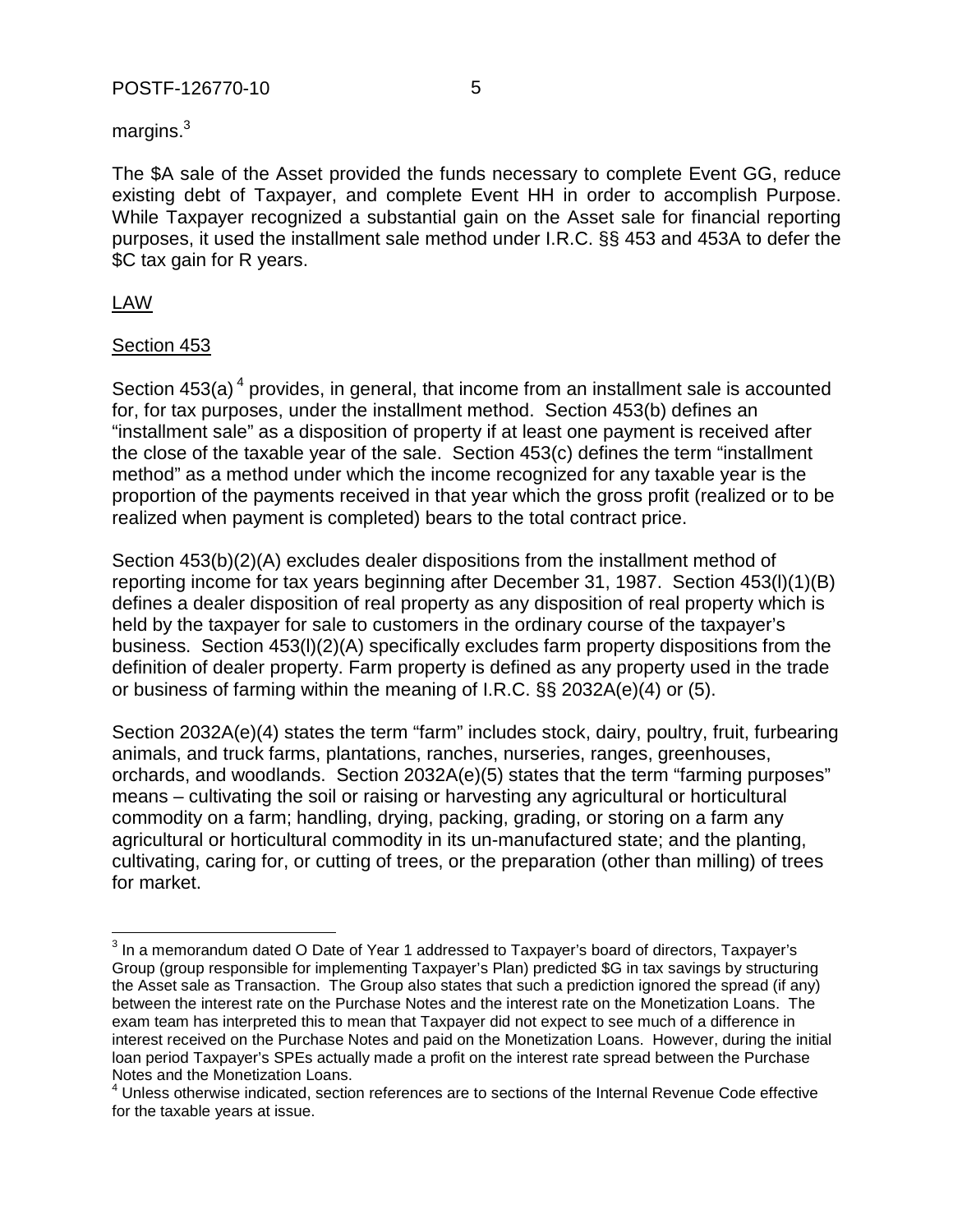#### POSTF-126770-10 5

margins. $^3$ 

The \$A sale of the Asset provided the funds necessary to complete Event GG, reduce existing debt of Taxpayer, and complete Event HH in order to accomplish Purpose. While Taxpayer recognized a substantial gain on the Asset sale for financial reporting purposes, it used the installment sale method under I.R.C. §§ 453 and 453A to defer the \$C tax gain for R years.

# LAW

### Section 453

Section  $453(a)^4$  provides, in general, that income from an installment sale is accounted for, for tax purposes, under the installment method. Section 453(b) defines an "installment sale" as a disposition of property if at least one payment is received after the close of the taxable year of the sale. Section 453(c) defines the term "installment method" as a method under which the income recognized for any taxable year is the proportion of the payments received in that year which the gross profit (realized or to be realized when payment is completed) bears to the total contract price.

Section 453(b)(2)(A) excludes dealer dispositions from the installment method of reporting income for tax years beginning after December 31, 1987. Section 453(l)(1)(B) defines a dealer disposition of real property as any disposition of real property which is held by the taxpayer for sale to customers in the ordinary course of the taxpayer's business. Section 453(l)(2)(A) specifically excludes farm property dispositions from the definition of dealer property. Farm property is defined as any property used in the trade or business of farming within the meaning of I.R.C. §§ 2032A(e)(4) or (5).

Section 2032A(e)(4) states the term "farm" includes stock, dairy, poultry, fruit, furbearing animals, and truck farms, plantations, ranches, nurseries, ranges, greenhouses, orchards, and woodlands. Section 2032A(e)(5) states that the term "farming purposes" means – cultivating the soil or raising or harvesting any agricultural or horticultural commodity on a farm; handling, drying, packing, grading, or storing on a farm any agricultural or horticultural commodity in its un-manufactured state; and the planting, cultivating, caring for, or cutting of trees, or the preparation (other than milling) of trees for market.

 3 In a memorandum dated O Date of Year 1 addressed to Taxpayer's board of directors, Taxpayer's Group (group responsible for implementing Taxpayer's Plan) predicted \$G in tax savings by structuring the Asset sale as Transaction. The Group also states that such a prediction ignored the spread (if any) between the interest rate on the Purchase Notes and the interest rate on the Monetization Loans. The exam team has interpreted this to mean that Taxpayer did not expect to see much of a difference in interest received on the Purchase Notes and paid on the Monetization Loans. However, during the initial loan period Taxpayer's SPEs actually made a profit on the interest rate spread between the Purchase Notes and the Monetization Loans.

<sup>&</sup>lt;sup>4</sup> Unless otherwise indicated, section references are to sections of the Internal Revenue Code effective for the taxable years at issue.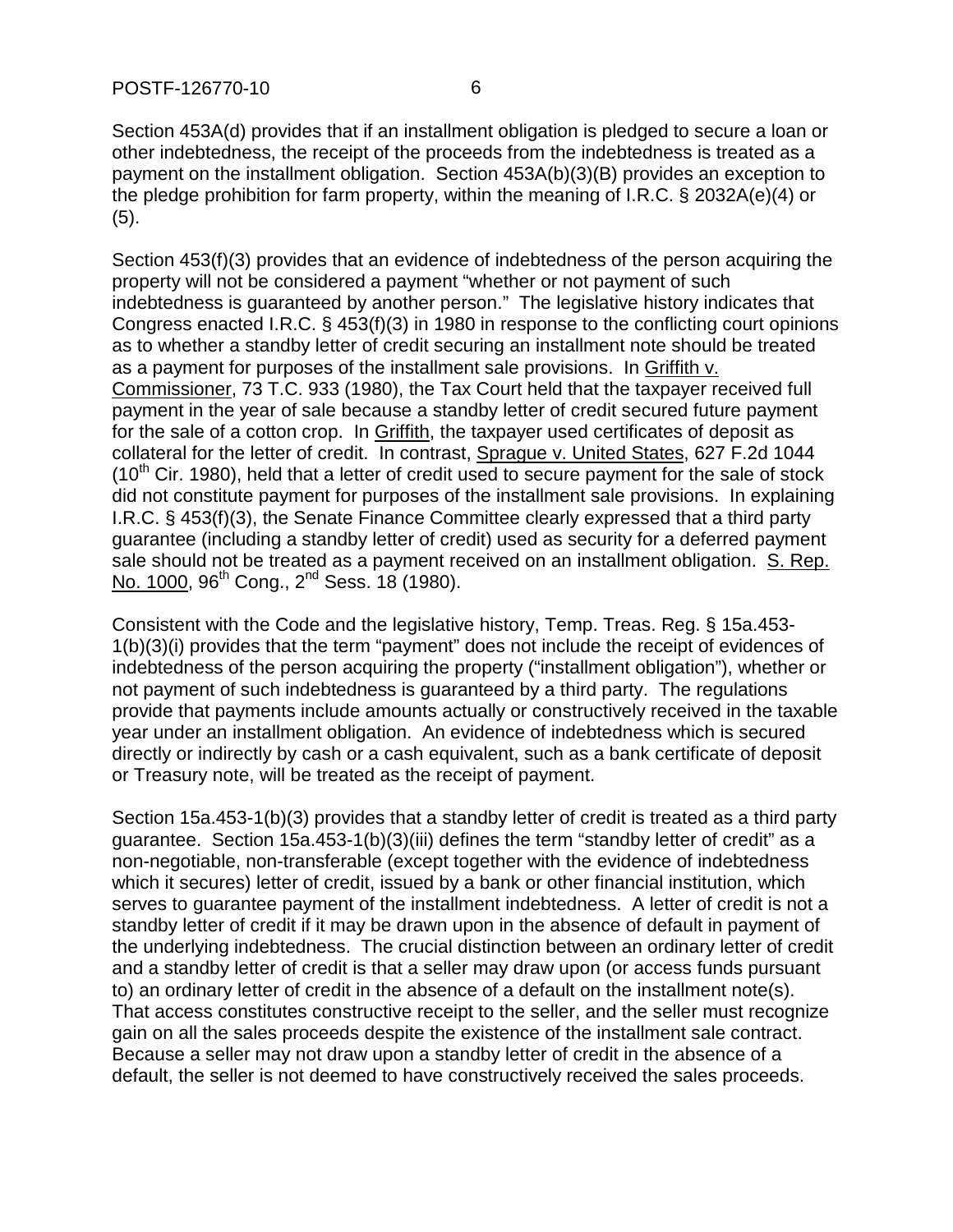Section 453A(d) provides that if an installment obligation is pledged to secure a loan or other indebtedness, the receipt of the proceeds from the indebtedness is treated as a payment on the installment obligation. Section 453A(b)(3)(B) provides an exception to the pledge prohibition for farm property, within the meaning of I.R.C. § 2032A(e)(4) or (5).

Section 453(f)(3) provides that an evidence of indebtedness of the person acquiring the property will not be considered a payment "whether or not payment of such indebtedness is guaranteed by another person." The legislative history indicates that Congress enacted I.R.C. § 453(f)(3) in 1980 in response to the conflicting court opinions as to whether a standby letter of credit securing an installment note should be treated as a payment for purposes of the installment sale provisions. In Griffith v. Commissioner, 73 T.C. 933 (1980), the Tax Court held that the taxpayer received full payment in the year of sale because a standby letter of credit secured future payment for the sale of a cotton crop. In Griffith, the taxpayer used certificates of deposit as collateral for the letter of credit. In contrast, Sprague v. United States, 627 F.2d 1044  $(10<sup>th</sup>$  Cir. 1980), held that a letter of credit used to secure payment for the sale of stock did not constitute payment for purposes of the installment sale provisions. In explaining I.R.C. § 453(f)(3), the Senate Finance Committee clearly expressed that a third party guarantee (including a standby letter of credit) used as security for a deferred payment sale should not be treated as a payment received on an installment obligation. S. Rep. No. 1000, 96<sup>th</sup> Cong., 2<sup>nd</sup> Sess. 18 (1980).

Consistent with the Code and the legislative history, Temp. Treas. Reg. § 15a.453- 1(b)(3)(i) provides that the term "payment" does not include the receipt of evidences of indebtedness of the person acquiring the property ("installment obligation"), whether or not payment of such indebtedness is guaranteed by a third party. The regulations provide that payments include amounts actually or constructively received in the taxable year under an installment obligation. An evidence of indebtedness which is secured directly or indirectly by cash or a cash equivalent, such as a bank certificate of deposit or Treasury note, will be treated as the receipt of payment.

Section 15a.453-1(b)(3) provides that a standby letter of credit is treated as a third party guarantee. Section 15a.453-1(b)(3)(iii) defines the term "standby letter of credit" as a non-negotiable, non-transferable (except together with the evidence of indebtedness which it secures) letter of credit, issued by a bank or other financial institution, which serves to guarantee payment of the installment indebtedness. A letter of credit is not a standby letter of credit if it may be drawn upon in the absence of default in payment of the underlying indebtedness. The crucial distinction between an ordinary letter of credit and a standby letter of credit is that a seller may draw upon (or access funds pursuant to) an ordinary letter of credit in the absence of a default on the installment note(s). That access constitutes constructive receipt to the seller, and the seller must recognize gain on all the sales proceeds despite the existence of the installment sale contract. Because a seller may not draw upon a standby letter of credit in the absence of a default, the seller is not deemed to have constructively received the sales proceeds.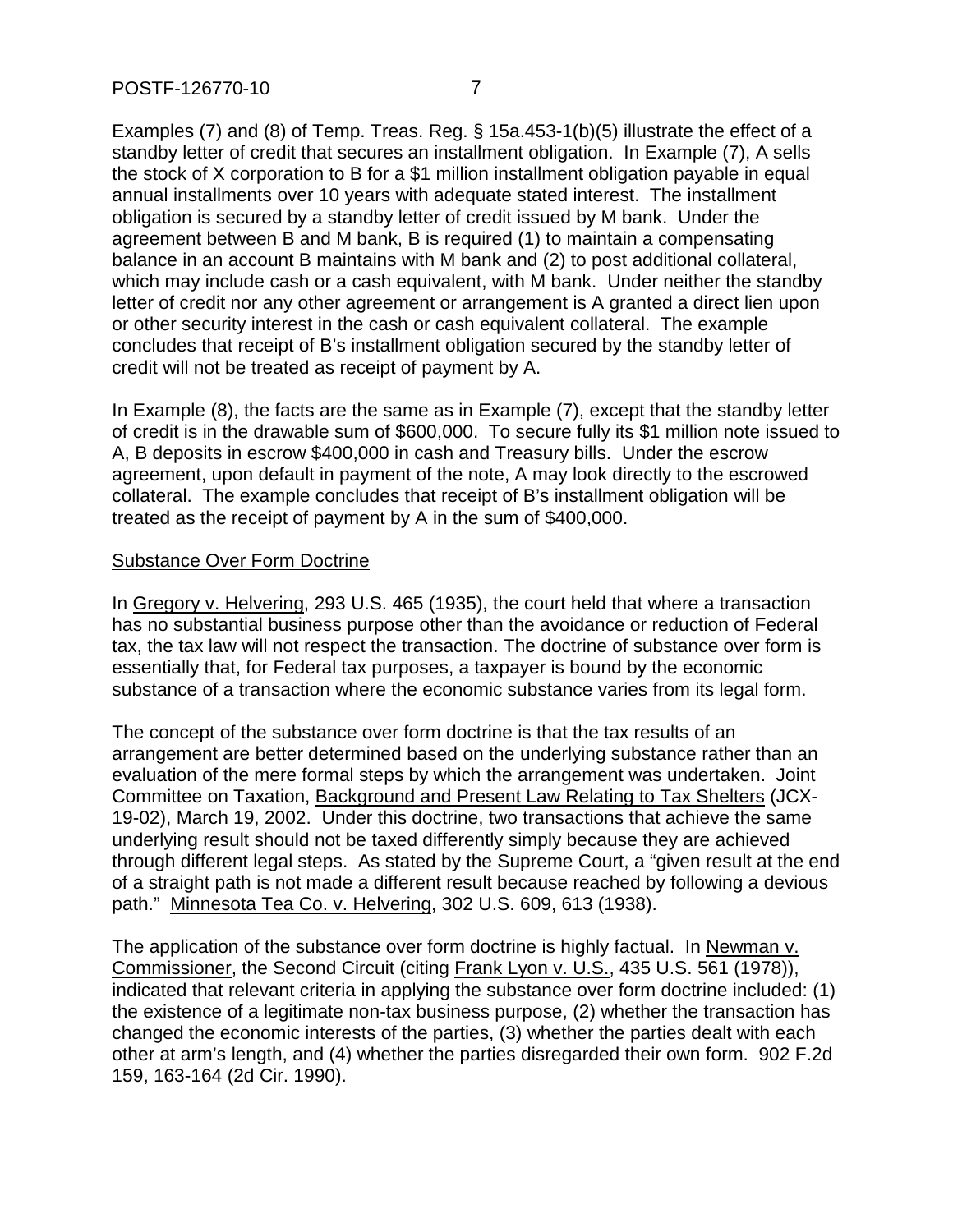Examples (7) and (8) of Temp. Treas. Reg. § 15a.453-1(b)(5) illustrate the effect of a standby letter of credit that secures an installment obligation. In Example (7), A sells the stock of X corporation to B for a \$1 million installment obligation payable in equal annual installments over 10 years with adequate stated interest. The installment obligation is secured by a standby letter of credit issued by M bank. Under the agreement between B and M bank, B is required (1) to maintain a compensating balance in an account B maintains with M bank and (2) to post additional collateral, which may include cash or a cash equivalent, with M bank. Under neither the standby letter of credit nor any other agreement or arrangement is A granted a direct lien upon or other security interest in the cash or cash equivalent collateral. The example concludes that receipt of B's installment obligation secured by the standby letter of credit will not be treated as receipt of payment by A.

In Example (8), the facts are the same as in Example (7), except that the standby letter of credit is in the drawable sum of \$600,000. To secure fully its \$1 million note issued to A, B deposits in escrow \$400,000 in cash and Treasury bills. Under the escrow agreement, upon default in payment of the note, A may look directly to the escrowed collateral. The example concludes that receipt of B's installment obligation will be treated as the receipt of payment by A in the sum of \$400,000.

### Substance Over Form Doctrine

In Gregory v. Helvering, 293 U.S. 465 (1935), the court held that where a transaction has no substantial business purpose other than the avoidance or reduction of Federal tax, the tax law will not respect the transaction. The doctrine of substance over form is essentially that, for Federal tax purposes, a taxpayer is bound by the economic substance of a transaction where the economic substance varies from its legal form.

The concept of the substance over form doctrine is that the tax results of an arrangement are better determined based on the underlying substance rather than an evaluation of the mere formal steps by which the arrangement was undertaken. Joint Committee on Taxation, Background and Present Law Relating to Tax Shelters (JCX-19-02), March 19, 2002. Under this doctrine, two transactions that achieve the same underlying result should not be taxed differently simply because they are achieved through different legal steps. As stated by the Supreme Court, a "given result at the end of a straight path is not made a different result because reached by following a devious path." Minnesota Tea Co. v. Helvering, 302 U.S. 609, 613 (1938).

The application of the substance over form doctrine is highly factual. In Newman v. Commissioner, the Second Circuit (citing Frank Lyon v. U.S., 435 U.S. 561 (1978)), indicated that relevant criteria in applying the substance over form doctrine included: (1) the existence of a legitimate non-tax business purpose, (2) whether the transaction has changed the economic interests of the parties, (3) whether the parties dealt with each other at arm's length, and (4) whether the parties disregarded their own form. 902 F.2d 159, 163-164 (2d Cir. 1990).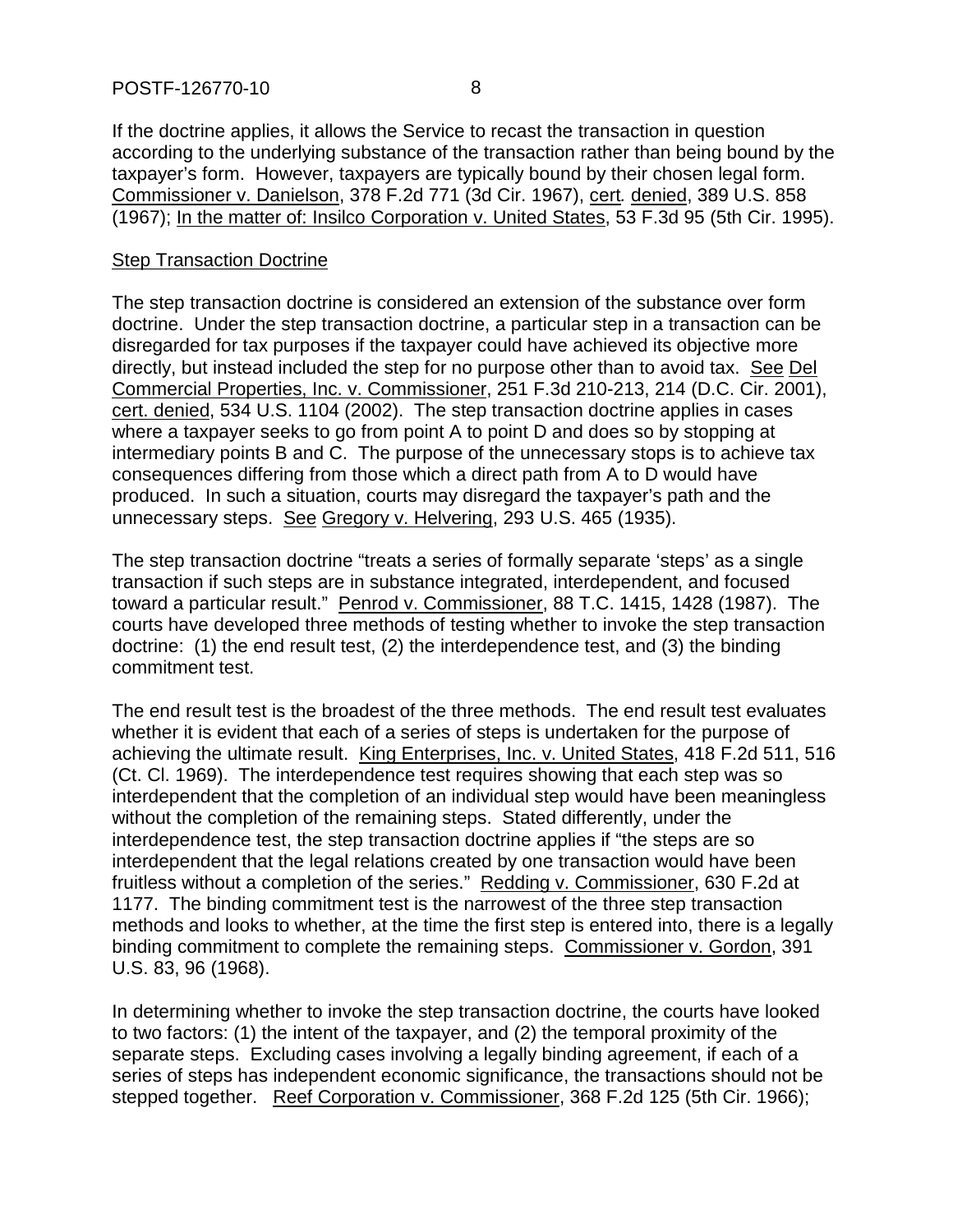If the doctrine applies, it allows the Service to recast the transaction in question according to the underlying substance of the transaction rather than being bound by the taxpayer's form. However, taxpayers are typically bound by their chosen legal form. Commissioner v. Danielson, 378 F.2d 771 (3d Cir. 1967), cert*.* denied, 389 U.S. 858 (1967); In the matter of: Insilco Corporation v. United States, 53 F.3d 95 (5th Cir. 1995).

#### Step Transaction Doctrine

The step transaction doctrine is considered an extension of the substance over form doctrine. Under the step transaction doctrine, a particular step in a transaction can be disregarded for tax purposes if the taxpayer could have achieved its objective more directly, but instead included the step for no purpose other than to avoid tax. See Del Commercial Properties, Inc. v. Commissioner, 251 F.3d 210-213, 214 (D.C. Cir. 2001), cert. denied, 534 U.S. 1104 (2002). The step transaction doctrine applies in cases where a taxpayer seeks to go from point A to point D and does so by stopping at intermediary points B and C. The purpose of the unnecessary stops is to achieve tax consequences differing from those which a direct path from A to D would have produced. In such a situation, courts may disregard the taxpayer's path and the unnecessary steps. See Gregory v. Helvering, 293 U.S. 465 (1935).

The step transaction doctrine "treats a series of formally separate 'steps' as a single transaction if such steps are in substance integrated, interdependent, and focused toward a particular result." Penrod v. Commissioner, 88 T.C. 1415, 1428 (1987). The courts have developed three methods of testing whether to invoke the step transaction doctrine: (1) the end result test, (2) the interdependence test, and (3) the binding commitment test.

The end result test is the broadest of the three methods. The end result test evaluates whether it is evident that each of a series of steps is undertaken for the purpose of achieving the ultimate result. King Enterprises, Inc. v. United States, 418 F.2d 511, 516 (Ct. Cl. 1969). The interdependence test requires showing that each step was so interdependent that the completion of an individual step would have been meaningless without the completion of the remaining steps. Stated differently, under the interdependence test, the step transaction doctrine applies if "the steps are so interdependent that the legal relations created by one transaction would have been fruitless without a completion of the series." Redding v. Commissioner, 630 F.2d at 1177. The binding commitment test is the narrowest of the three step transaction methods and looks to whether, at the time the first step is entered into, there is a legally binding commitment to complete the remaining steps. Commissioner v. Gordon, 391 U.S. 83, 96 (1968).

In determining whether to invoke the step transaction doctrine, the courts have looked to two factors: (1) the intent of the taxpayer, and (2) the temporal proximity of the separate steps. Excluding cases involving a legally binding agreement, if each of a series of steps has independent economic significance, the transactions should not be stepped together. Reef Corporation v. Commissioner, 368 F.2d 125 (5th Cir. 1966);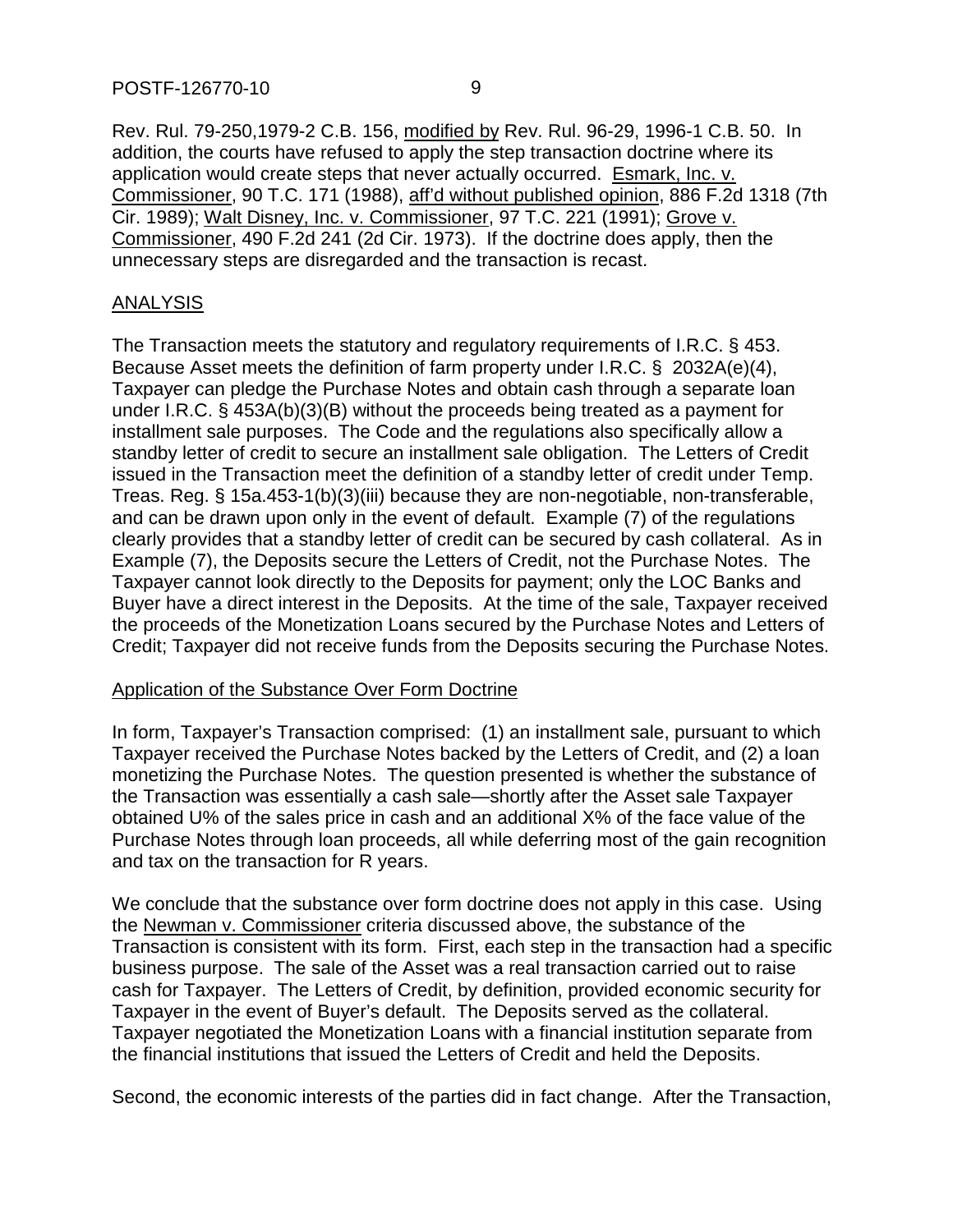Rev. Rul. 79-250,1979-2 C.B. 156, modified by Rev. Rul. 96-29, 1996-1 C.B. 50. In addition, the courts have refused to apply the step transaction doctrine where its application would create steps that never actually occurred. Esmark, Inc. v. Commissioner, 90 T.C. 171 (1988), aff'd without published opinion, 886 F.2d 1318 (7th Cir. 1989); Walt Disney, Inc. v. Commissioner, 97 T.C. 221 (1991); Grove v. Commissioner, 490 F.2d 241 (2d Cir. 1973). If the doctrine does apply, then the unnecessary steps are disregarded and the transaction is recast.

#### ANALYSIS

The Transaction meets the statutory and regulatory requirements of I.R.C. § 453. Because Asset meets the definition of farm property under I.R.C. § 2032A(e)(4), Taxpayer can pledge the Purchase Notes and obtain cash through a separate loan under I.R.C. § 453A(b)(3)(B) without the proceeds being treated as a payment for installment sale purposes. The Code and the regulations also specifically allow a standby letter of credit to secure an installment sale obligation. The Letters of Credit issued in the Transaction meet the definition of a standby letter of credit under Temp. Treas. Reg. § 15a.453-1(b)(3)(iii) because they are non-negotiable, non-transferable, and can be drawn upon only in the event of default. Example (7) of the regulations clearly provides that a standby letter of credit can be secured by cash collateral. As in Example (7), the Deposits secure the Letters of Credit, not the Purchase Notes. The Taxpayer cannot look directly to the Deposits for payment; only the LOC Banks and Buyer have a direct interest in the Deposits. At the time of the sale, Taxpayer received the proceeds of the Monetization Loans secured by the Purchase Notes and Letters of Credit; Taxpayer did not receive funds from the Deposits securing the Purchase Notes.

#### Application of the Substance Over Form Doctrine

In form, Taxpayer's Transaction comprised: (1) an installment sale, pursuant to which Taxpayer received the Purchase Notes backed by the Letters of Credit, and (2) a loan monetizing the Purchase Notes. The question presented is whether the substance of the Transaction was essentially a cash sale—shortly after the Asset sale Taxpayer obtained U% of the sales price in cash and an additional X% of the face value of the Purchase Notes through loan proceeds, all while deferring most of the gain recognition and tax on the transaction for R years.

We conclude that the substance over form doctrine does not apply in this case. Using the Newman v. Commissioner criteria discussed above, the substance of the Transaction is consistent with its form. First, each step in the transaction had a specific business purpose. The sale of the Asset was a real transaction carried out to raise cash for Taxpayer. The Letters of Credit, by definition, provided economic security for Taxpayer in the event of Buyer's default. The Deposits served as the collateral. Taxpayer negotiated the Monetization Loans with a financial institution separate from the financial institutions that issued the Letters of Credit and held the Deposits.

Second, the economic interests of the parties did in fact change. After the Transaction,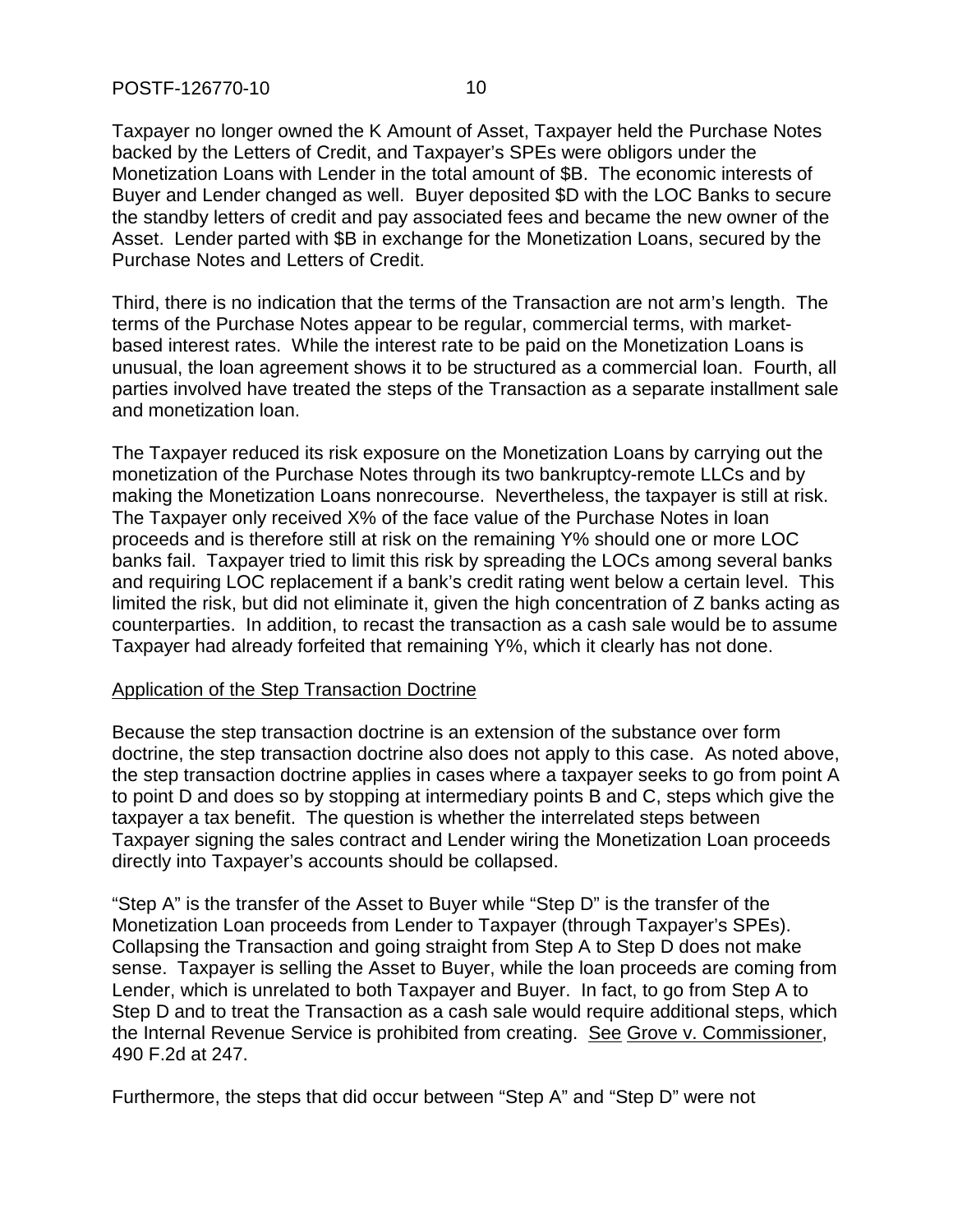Taxpayer no longer owned the K Amount of Asset, Taxpayer held the Purchase Notes backed by the Letters of Credit, and Taxpayer's SPEs were obligors under the Monetization Loans with Lender in the total amount of \$B. The economic interests of Buyer and Lender changed as well. Buyer deposited \$D with the LOC Banks to secure the standby letters of credit and pay associated fees and became the new owner of the Asset. Lender parted with \$B in exchange for the Monetization Loans, secured by the Purchase Notes and Letters of Credit.

Third, there is no indication that the terms of the Transaction are not arm's length. The terms of the Purchase Notes appear to be regular, commercial terms, with marketbased interest rates. While the interest rate to be paid on the Monetization Loans is unusual, the loan agreement shows it to be structured as a commercial loan. Fourth, all parties involved have treated the steps of the Transaction as a separate installment sale and monetization loan.

The Taxpayer reduced its risk exposure on the Monetization Loans by carrying out the monetization of the Purchase Notes through its two bankruptcy-remote LLCs and by making the Monetization Loans nonrecourse. Nevertheless, the taxpayer is still at risk. The Taxpayer only received X% of the face value of the Purchase Notes in loan proceeds and is therefore still at risk on the remaining Y% should one or more LOC banks fail. Taxpayer tried to limit this risk by spreading the LOCs among several banks and requiring LOC replacement if a bank's credit rating went below a certain level. This limited the risk, but did not eliminate it, given the high concentration of Z banks acting as counterparties. In addition, to recast the transaction as a cash sale would be to assume Taxpayer had already forfeited that remaining Y%, which it clearly has not done.

#### Application of the Step Transaction Doctrine

Because the step transaction doctrine is an extension of the substance over form doctrine, the step transaction doctrine also does not apply to this case. As noted above, the step transaction doctrine applies in cases where a taxpayer seeks to go from point A to point D and does so by stopping at intermediary points B and C, steps which give the taxpayer a tax benefit. The question is whether the interrelated steps between Taxpayer signing the sales contract and Lender wiring the Monetization Loan proceeds directly into Taxpayer's accounts should be collapsed.

"Step A" is the transfer of the Asset to Buyer while "Step D" is the transfer of the Monetization Loan proceeds from Lender to Taxpayer (through Taxpayer's SPEs). Collapsing the Transaction and going straight from Step A to Step D does not make sense. Taxpayer is selling the Asset to Buyer, while the loan proceeds are coming from Lender, which is unrelated to both Taxpayer and Buyer. In fact, to go from Step A to Step D and to treat the Transaction as a cash sale would require additional steps, which the Internal Revenue Service is prohibited from creating. See Grove v. Commissioner, 490 F.2d at 247.

Furthermore, the steps that did occur between "Step A" and "Step D" were not